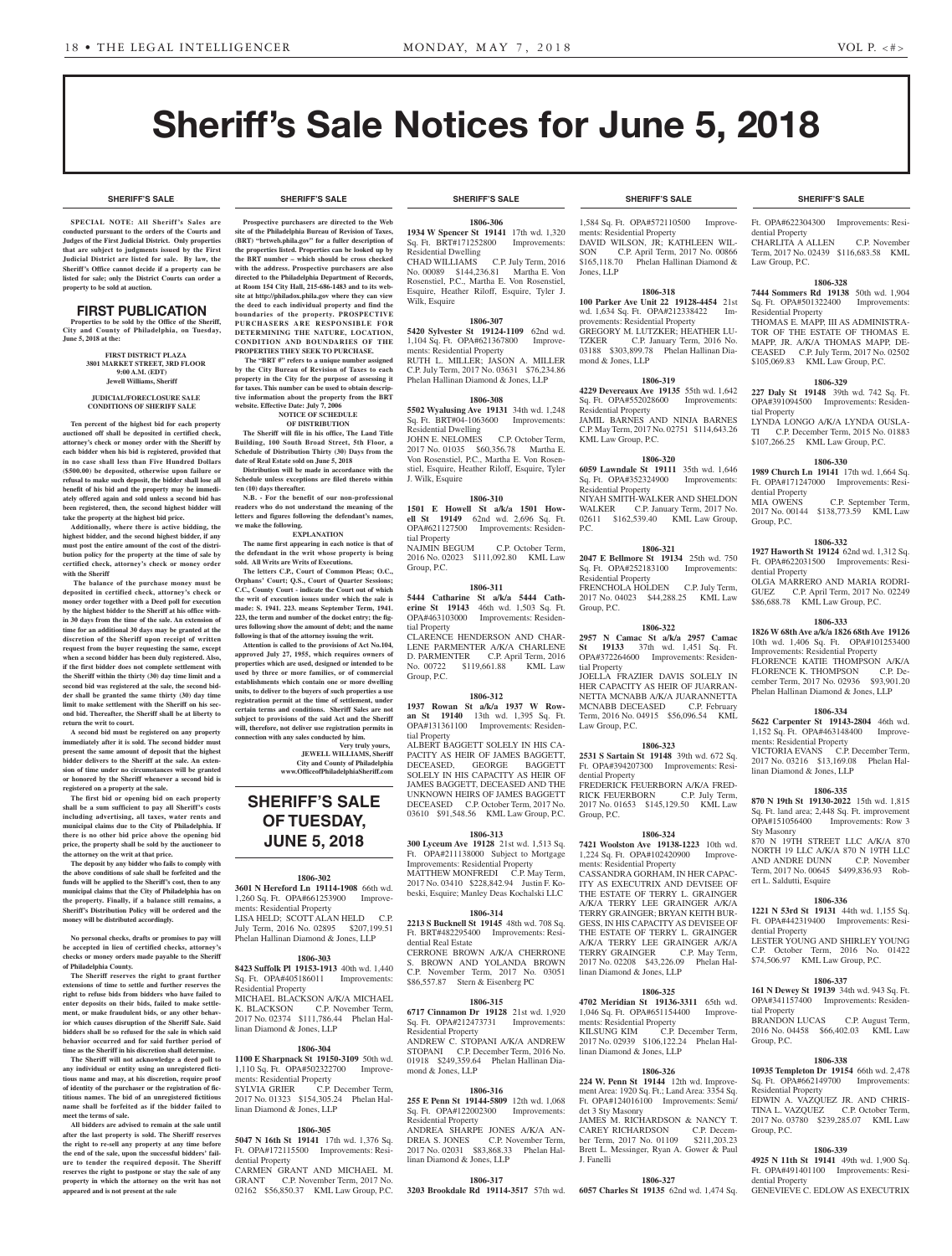**SHERIFF'S SALE SHERIFF'S SALE SHERIFF'S SALE SHERIFF'S SALE SHERIFF'S SALE**

# Sheriff's Sale Notices for June 5, 2018

#### **SHERIFF'S SALE SHERIFF'S SALE SHERIFF'S SALE SHERIFF'S SALE SHERIFF'S SALE**

**SPECIAL NOTE: All Sheriff 's Sales are conducted pursuant to the orders of the Courts and Judges of the First Judicial District. Only properties that are subject to judgments issued by the First Judicial District are listed for sale. By law, the Sheriff's Office cannot decide if a property can be listed for sale; only the District Courts can order a property to be sold at auction.** 

# FIRST PUBLICATION

**Properties to be sold by the Office of the Sheriff, City and County of Philadelphia, on Tuesday, June 5, 2018 at the:** 

#### **FIRST DISTRICT PLAZA 3801 MARKET STREET, 3RD FLOOR 9:00 A.M. (EDT) Jewell Williams, Sheriff**

#### **JUDICIAL/FORECLOSURE SALE CONDITIONS OF SHERIFF SALE**

**Ten percent of the highest bid for each property auctioned off shall be deposited in certified check, attorney's check or money order with the Sheriff by each bidder when his bid is registered, provided that in no case shall less than Five Hundred Dollars (\$500.00) be deposited, otherwise upon failure or refusal to make such deposit, the bidder shall lose all benefit of his bid and the property may be immediately offered again and sold unless a second bid has been registered, then, the second highest bidder will take the property at the highest bid price.**

**Additionally, where there is active bidding, the highest bidder, and the second highest bidder, if any must post the entire amount of the cost of the distribution policy for the property at the time of sale by certified check, attorney's check or money order with the Sheriff**

 **The balance of the purchase money must be deposited in certified check, attorney's check or money order together with a Deed poll for execution by the highest bidder to the Sheriff at his office within 30 days from the time of the sale. An extension of time for an additional 30 days may be granted at the discretion of the Sheriff upon receipt of written request from the buyer requesting the same, except when a second bidder has been duly registered. Also, if the first bidder does not complete settlement with the Sheriff within the thirty (30) day time limit and a second bid was registered at the sale, the second bidder shall be granted the same thirty (30) day time limit to make settlement with the Sheriff on his second bid. Thereafter, the Sheriff shall be at liberty to return the writ to court.**

**A second bid must be registered on any property immediately after it is sold. The second bidder must present the same amount of deposit that the highest bidder delivers to the Sheriff at the sale. An extension of time under no circumstances will be granted or honored by the Sheriff whenever a second bid is registered on a property at the sale.** 

**The first bid or opening bid on each property shall be a sum sufficient to pay all Sheriff's costs including advertising, all taxes, water rents and municipal claims due to the City of Philadelphia. If there is no other bid price above the opening bid price, the property shall be sold by the auctioneer to the attorney on the writ at that price.**

**The deposit by any bidder who fails to comply with the above conditions of sale shall be forfeited and the funds will be applied to the Sheriff's cost, then to any municipal claims that the City of Philadelphia has on the property. Finally, if a balance still remains, a Sheriff's Distribution Policy will be ordered and the money will be distributed accordingly.**

**No personal checks, drafts or promises to pay will be accepted in lieu of certified checks, attorney's checks or money orders made payable to the Sheriff of Philadelphia County.**

**The Sheriff reserves the right to grant further extensions of time to settle and further reserves the right to refuse bids from bidders who have failed to enter deposits on their bids, failed to make settlement, or make fraudulent bids, or any other behavior which causes disruption of the Sheriff Sale. Said bidders shall be so refused for the sale in which said behavior occurred and for said further period of time as the Sheriff in his discretion shall determine.**

**The Sheriff will not acknowledge a deed poll to any individual or entity using an unregistered fictitious name and may, at his discretion, require proof of identity of the purchaser or the registration of fictitious names. The bid of an unregistered fictitious name shall be forfeited as if the bidder failed to meet the terms of sale.**

**All bidders are advised to remain at the sale until after the last property is sold. The Sheriff reserves the right to re-sell any property at any time before the end of the sale, upon the successful bidders' failure to tender the required deposit. The Sheriff reserves the right to postpone or stay the sale of any property in which the attorney on the writ has not appeared and is not present at the sale**

**Prospective purchasers are directed to the Web site of the Philadelphia Bureau of Revision of Taxes, (BRT) "brtweb.phila.gov" for a fuller description of the properties listed. Properties can be looked up by the BRT number – which should be cross checked with the address. Prospective purchasers are also directed to the Philadelphia Department of Records, at Room 154 City Hall, 215-686-1483 and to its website at http://philadox.phila.gov where they can view the deed to each individual property and find the boundaries of the property. PROSPECTIVE PURCHASERS ARE RESPONSIBLE FOR DETERMINING THE NATURE, LOCATION, CONDITION AND BOUNDARIES OF THE PROPERTIES THEY SEEK TO PURCHASE.**

 **The "BRT #" refers to a unique number assigned by the City Bureau of Revision of Taxes to each property in the City for the purpose of assessing it for taxes. This number can be used to obtain descriptive information about the property from the BRT website. Effective Date: July 7, 2006**

#### **NOTICE OF SCHEDULE OF DISTRIBUTION**

**The Sheriff will file in his office, The Land Title Building, 100 South Broad Street, 5th Floor, a Schedule of Distribution Thirty (30) Days from the date of Real Estate sold on June 5, 2018 Distribution will be made in accordance with the** 

**Schedule unless exceptions are filed thereto within ten (10) days thereafter. N.B. - For the benefit of our non-professional** 

**readers who do not understand the meaning of the letters and figures following the defendant's names, we make the following. EXPLANATION**

**The name first appearing in each notice is that of the defendant in the writ whose property is being sold. All Writs are Writs of Executions.**

**The letters C.P., Court of Common Pleas; O.C., Orphans' Court; Q.S., Court of Quarter Sessions; C.C., County Court - indicate the Court out of which the writ of execution issues under which the sale is made: S. 1941. 223. means September Term, 1941. 223, the term and number of the docket entry; the figures following show the amount of debt; and the name following is that of the attorney issuing the writ.**

**Attention is called to the provisions of Act No.104, approved July 27, 1955, which requires owners of properties which are used, designed or intended to be used by three or more families, or of commercial establishments which contain one or more dwelling units, to deliver to the buyers of such properties a use registration permit at the time of settlement, under certain terms and conditions. Sheriff Sales are not subject to provisions of the said Act and the Sheriff will, therefore, not deliver use registration permits in connection with any sales conducted by him.**

> **Very truly yours, JEWELL WILLIAMS, Sheriff City and County of Philadelphia www.OfficeofPhiladelphiaSheriff.com**

# **SHERIFF'S SALE OF TUESDAY, JUNE 5, 2018**

#### **1806-302**

**3601 N Hereford Ln 19114-1908** 66th wd. 1,260 Sq. Ft. OPA#661253900 Improvements: Residential Property LISA HELD; SCOTT ALAN HELD C.P. July Term, 2016 No. 02895 \$207,199.51

Phelan Hallinan Diamond & Jones, LLP **1806-303**

**8423 Suffolk Pl 19153-1913** 40th wd. 1,440 Sq. Ft. OPA#405186011 Improvements: Residential Property MICHAEL BLACKSON A/K/A MICHAEL<br>K. BLACKSON C.P. November Term. C.P. November Term, 2017 No. 02374 \$111,786.44 Phelan Hallinan Diamond & Jones, LLP

#### **1806-304**

**1100 E Sharpnack St 19150-3109** 50th wd. 1,110 Sq. Ft. OPA#502322700 Improvements: Residential Property<br>SYLVIA GRIER C.P. C.P. December Term, 2017 No. 01323 \$154,305.24 Phelan Hal-

## **1806-305**

linan Diamond & Jones, LLP

**5047 N 16th St 19141** 17th wd. 1,376 Sq. Ft. OPA#172115500 Improvements: Residential Property

CARMEN GRANT AND MICHAEL M. GRANT C.P. November Term, 2017 No. 02162 \$56,850.37 KML Law Group, P.C.

**1806-306 1934 W Spencer St 19141** 17th wd. 1,320 Sq. Ft. BRT#171252800 Improvements:

Residential Dwelling<br>CHAD WILLIAMS C.P. July Term, 2016 No. 00089 \$144,236.81 Martha E. Von Rosenstiel, P.C., Martha E. Von Rosenstiel, Esquire, Heather Riloff, Esquire, Tyler J. Wilk, Esquire

## **1806-307**

**5420 Sylvester St 19124-1109** 62nd wd. 1,104 Sq. Ft. OPA#621367800 Improvements: Residential Property RUTH L. MILLER; JASON A. MILLER

C.P. July Term, 2017 No. 03631 \$76,234.86 Phelan Hallinan Diamond & Jones, LLP

# **1806-308**

**5502 Wyalusing Ave 19131** 34th wd. 1,248 Sq. Ft. BRT#04-1063600 Improvements: Residential Dwelling JOHN E. NELOMES C.P. October Term,

2017 No. 01035 \$60,356.78 Martha E. Von Rosenstiel, P.C., Martha E. Von Rosenstiel, Esquire, Heather Riloff, Esquire, Tyler J. Wilk, Esquire

#### **1806-310**

**1501 E Howell St a/k/a 1501 Howell St 19149** 62nd wd. 2,696 Sq. Ft. OPA#621127500 Improvements: Residential Property<br>NAJMIN BEGUM C.P. October Term,

2016 No. 02023 \$111,092.80 KML Law Group, P.C.

# **1806-311**

**5444 Catharine St a/k/a 5444 Catherine St 19143** 46th wd. 1,503 Sq. Ft. OPA#463103000 Improvements: Residential Property CLARENCE HENDERSON AND CHAR-LENE PARMENTER A/K/A CHARLENE

D. PARMENTER C.P. April Term, 2016<br>No. 00722 \$119,661.88 KML Law \$119,661.88 KML Law Group, P.C.

# **1806-312**

**1937 Rowan St a/k/a 1937 W Rowan St 19140** 13th wd. 1,395 Sq. Ft. OPA#131361100 Improvements: Residential Property ALBERT BAGGETT SOLELY IN HIS CA-PACITY AS HEIR OF JAMES BAGGETT, DECEASED, GEORGE BAGGETT SOLELY IN HIS CAPACITY AS HEIR OF JAMES BAGGETT, DECEASED AND THE UNKNOWN HEIRS OF JAMES BAGGETT DECEASED C.P. October Term, 2017 No.

# 03610 \$91,548.56 KML Law Group, P.C. **1806-313**

**300 Lyceum Ave 19128** 21st wd. 1,513 Sq. Ft. OPA#211138000 Subject to Mortgage Improvements: Residential Property MATTHEW MONFREDI C.P. May Term, 2017 No. 03410 \$228,842.94 Justin F. Kobeski, Esquire; Manley Deas Kochalski LLC

#### **1806-314**

**2213 S Bucknell St 19145** 48th wd. 708 Sq. Ft. BRT#482295400 Improvements: Residential Real Estate

CERRONE BROWN A/K/A CHERRONE BROWN AND YOLANDA BROWN C.P. November Term, 2017 No. 03051 \$86,557.87 Stern & Eisenberg PC

#### **1806-315**

**6717 Cinnamon Dr 19128** 21st wd. 1,920 Sq. Ft. OPA#212473731 Improvements: Residential Property ANDREW C. STOPANI A/K/A ANDREW STOPANI C.P. December Term, 2016 No. 01918 \$249,359.64 Phelan Hallinan Diamond & Jones, LLP

#### **1806-316**

**255 E Penn St 19144-5809** 12th wd. 1,068 Sq. Ft. OPA#122002300 Improvements: Residential Property ANDREA SHARPE JONES A/K/A AN-DREA S. JONES C.P. November Term, 2017 No. 02031 \$83,868.33 Phelan Hallinan Diamond & Jones, LLP

#### **1806-317**

**3203 Brookdale Rd 19114-3517** 57th wd.

1,584 Sq. Ft. OPA#572110500 Improvements: Residential Property DAVID WILSON, JR; KATHLEEN WIL-SON C.P. April Term, 2017 No. 00866 \$165,118.70 Phelan Hallinan Diamond & Jones, LLP

# **1806-318**

**100 Parker Ave Unit 22 19128-4454** 21st wd. 1,634 Sq. Ft. OPA#212338422 Improvements: Residential Property GREGORY M. LUTZKER; HEATHER LU-<br>TZKER C.P. January Term. 2016 No. C.P. January Term, 2016 No. 03188 \$303,899.78 Phelan Hallinan Diamond & Jones, LLP

# **1806-319**

**4229 Devereaux Ave 19135** 55th wd. 1,642 Sq. Ft. OPA#552028600 Improvements: Residential Property JAMIL BARNES AND NINJA BARNES C.P. May Term, 2017 No. 02751 \$114,643.26 KML Law Group, P.C.

#### **1806-320**

**6059 Lawndale St 19111** 35th wd. 1,646 Sq. Ft. OPA#352324900 Improvements: Residential Property NIYAH SMITH-WALKER AND SHELDON WALKER C.P. January Term, 2017 No. 02611 \$162,539.40 KML Law Group, P.C.

### **1806-321**

**2047 E Bellmore St 19134** 25th wd. 750 Sq. Ft. OPA#252183100 Improvements: Residential Property FRENCHOLA HOLDEN C.P. July Term, 2017 No. 04023 \$44,288.25 KML Law Group, P.C.

# **1806-322**

**2957 N Camac St a/k/a 2957 Camac St 19133** 37th wd. 1,451 Sq. Ft. OPA#372264600 Improvements: Residential Property JOELLA FRAZIER DAVIS SOLELY IN HER CAPACITY AS HEIR OF JUARRAN-NETTA MCNABB A/K/A JUARANNETTA MCNABB DECEASED C.P. February Term, 2016 No. 04915 \$56,096.54 KML Law Group, P.C.

### **1806-323**

**2531 S Sartain St 19148** 39th wd. 672 Sq. Ft. OPA#394207300 Improvements: Residential Property

FREDERICK FEUERBORN A/K/A FRED-<br>RICK FEUERBORN C.P. July Term, RICK FEUERBORN 2017 No. 01653 \$145,129.50 KML Law Group, P.C.

#### **1806-324 7421 Woolston Ave 19138-1223** 10th wd.

1,224 Sq. Ft. OPA#102420900 Improvements: Residential Property CASSANDRA GORHAM, IN HER CAPAC-ITY AS EXECUTRIX AND DEVISEE OF THE ESTATE OF TERRY L. GRAINGER A/K/A TERRY LEE GRAINGER A/K/A TERRY GRAINGER; BRYAN KEITH BUR-

GESS, IN HIS CAPACITY AS DEVISEE OF THE ESTATE OF TERRY L. GRAINGER A/K/A TERRY LEE GRAINGER A/K/A<br>TERRY GRAINGER C.P. May Term, TERRY GRAINGER 2017 No. 02208 \$43,226.09 Phelan Hallinan Diamond & Jones, LLP

## **1806-325**

**4702 Meridian St 19136-3311** 65th wd. 1,046 Sq. Ft. OPA#651154400 Improvements: Residential Property<br>KILSUNG KIM C.P. C.P. December Term, 2017 No. 02939 \$106,122.24 Phelan Hallinan Diamond & Jones, LLP

# **1806-326**

**224 W. Penn St 19144** 12th wd. Improvement Area: 1920 Sq. Ft.; Land Area: 3354 Sq. Ft. OPA#124016100 Improvements: Semi/ det 3 Sty Masonry JAMES M. RICHARDSON & NANCY T. CAREY RICHARDSON C.P. December Term, 2017 No. 01109 \$211,203.23 Brett L. Messinger, Ryan A. Gower & Paul J. Fanelli

**1806-327 6057 Charles St 19135** 62nd wd. 1,474 Sq.

# Ft. OPA#622304300 Improvements: Residential Property CHARLITA A ALLEN C.P. November

Term, 2017 No. 02439 \$116,683.58 KML Law Group, P.C.

# **1806-328**

**7444 Sommers Rd 19138** 50th wd. 1,904 Sq. Ft. OPA#501322400 Improvements: Residential Property

THOMAS E. MAPP, III AS ADMINISTRA-TOR OF THE ESTATE OF THOMAS E. MAPP, JR. A/K/A THOMAS MAPP, DE-CEASED C.P. July Term, 2017 No. 02502 \$105,069.83 KML Law Group, P.C.

#### **1806-329 227 Daly St 19148** 39th wd. 742 Sq. Ft.

tial Property

dential Property

Group, P.C.

dential Property

OPA#391094500 Improvements: Residen-

LYNDA LONGO A/K/A LYNDA OUSLA-TI C.P. December Term, 2015 No. 01883 \$107,266.25 KML Law Group, P.C. **1806-330 1989 Church Ln 19141** 17th wd. 1,664 Sq. Ft. OPA#171247000 Improvements: Resi-

MIA OWENS C.P. September Term, 2017 No. 00144 \$138,773.59 KML Law

**1806-332 1927 Haworth St 19124** 62nd wd. 1,312 Sq. Ft. OPA#622031500 Improvements: Resi-

OLGA MARRERO AND MARIA RODRI-GUEZ C.P. April Term, 2017 No. 02249 \$86,688.78 KML Law Group, P.C.

**1806-333 1826 W 68th Ave a/k/a 1826 68th Ave 19126**  10th wd. 1,406 Sq. Ft. OPA#101253400 Improvements: Residential Property FLORENCE KATIE THOMPSON A/K/A FLORENCE K. THOMPSON C.P. December Term, 2017 No. 02936 \$93,901.20 Phelan Hallinan Diamond & Jones, LLP **1806-334 5622 Carpenter St 19143-2804** 46th wd. 1,152 Sq. Ft. OPA#463148400 Improve-

VICTORIA EVANS C.P. December Term, 2017 No. 03216 \$13,169.08 Phelan Hal-

**1806-335 870 N 19th St 19130-2022** 15th wd. 1,815 Sq. Ft. land area; 2,448 Sq. Ft. improvement OPA#151056400 Improvements: Row 3

870 N 19TH STREET LLC A/K/A 870 NORTH 19 LLC A/K/A 870 N 19TH LLC<br>AND ANDRE DUNN C.P. November

Term, 2017 No. 00645 \$499,836.93 Rob-

**1806-336 1221 N 53rd St 19131** 44th wd. 1,155 Sq. Ft. OPA#442319400 Improvements: Resi-

LESTER YOUNG AND SHIRLEY YOUNG C.P. October Term, 2016 No. 01422 \$74,506.97 KML Law Group, P.C.

**1806-337 161 N Dewey St 19139** 34th wd. 943 Sq. Ft. OPA#341157400 Improvements: Residen-

BRANDON LUCAS C.P. August Term, 2016 No. 04458 \$66,402.03 KML Law

**1806-338 10935 Templeton Dr 19154** 66th wd. 2,478 Sq. Ft. OPA#662149700 Improvements:

EDWIN A. VAZQUEZ JR. AND CHRIS-TINA L. VAZQUEZ C.P. October Term, 2017 No. 03780 \$239,285.07 KML Law

**1806-339 4925 N 11th St 19141** 49th wd. 1,900 Sq. Ft. OPA#491401100 Improvements: Resi-

GENEVIEVE C. EDLOW AS EXECUTRIX

ments: Residential Property

linan Diamond & Jones, LLP

Sty Masonry

AND ANDRE DUNN

ert L. Saldutti, Esquire

dential Property

tial Property

Group, P.C.

Group, P.C.

dential Property

Residential Property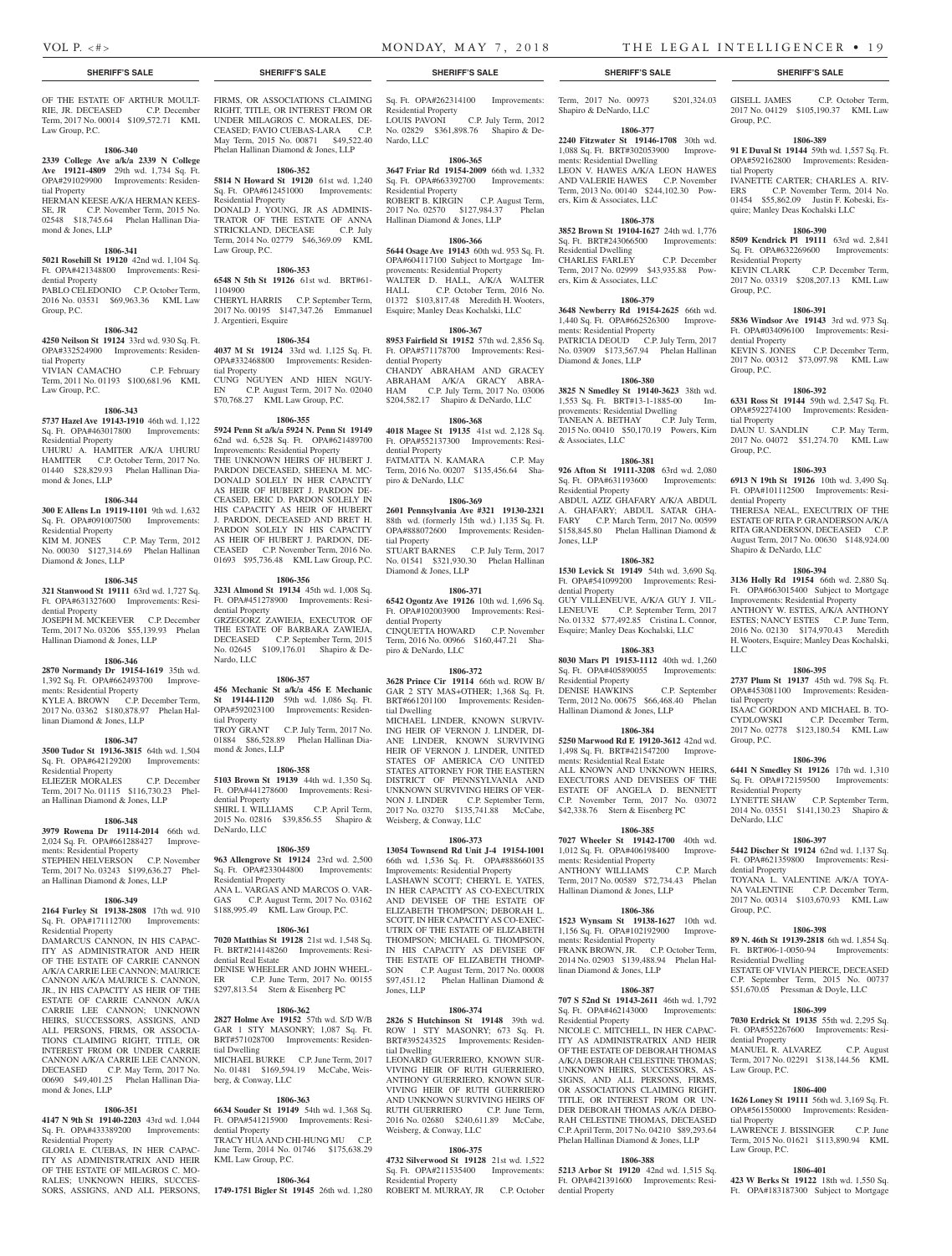OF THE ESTATE OF ARTHUR MOULT-RIE, JR. DECEASED C.P. December Term, 2017 No. 00014 \$109,572.71 KML Law Group, P.C.

#### **1806-340**

**2339 College Ave a/k/a 2339 N College Ave 19121-4809** 29th wd. 1,734 Sq. Ft. OPA#291029900 Improvements: Residential Property HERMAN KEESE A/K/A HERMAN KEES-

SE, JR C.P. November Term, 2015 No. 02548 \$18,745.64 Phelan Hallinan Diamond & Jones, LLP

#### **1806-341**

**5021 Rosehill St 19120** 42nd wd. 1,104 Sq. Ft. OPA#421348800 Improvements: Residential Property

PABLO CELEDONIO C.P. October Term, 2016 No. 03531 \$69,963.36 KML Law Group, P.C.

#### **1806-342**

**4250 Neilson St 19124** 33rd wd. 930 Sq. Ft. OPA#332524900 Improvements: Residential Property VIVIAN CAMACHO C.P. February Term, 2011 No. 01193 \$100,681.96 KML

# **1806-343**

**5737 Hazel Ave 19143-1910** 46th wd. 1,122 Sq. Ft. OPA#463017800 Improvements: Residential Property

UHURU A. HAMITER A/K/A UHURU HAMITER C.P. October Term, 2017 No. 01440 \$28,829.93 Phelan Hallinan Diamond & Jones, LLP

#### **1806-344**

Law Group, P.C.

**300 E Allens Ln 19119-1101** 9th wd. 1,632 Sq. Ft. OPA#091007500 Improvements: Residential Property<br>KIM M. JONES C.P. May Term, 2012 No. 00030 \$127,314.69 Phelan Hallinan Diamond & Jones, LLP

#### **1806-345**

**321 Stanwood St 19111** 63rd wd. 1,727 Sq. Ft. OPA#631327600 Improvements: Residential Property JOSEPH M. MCKEEVER C.P. December

Term, 2017 No. 03206 \$55,139.93 Phelan Hallinan Diamond & Jones, LLP

#### **1806-346**

**2870 Normandy Dr 19154-1619** 35th wd. 1,392 Sq. Ft. OPA#662493700 Improvements: Residential Property KYLE A. BROWN C.P. December Term, 2017 No. 03362 \$180,878.97 Phelan Hallinan Diamond & Jones, LLP

#### **1806-347**

**3500 Tudor St 19136-3815** 64th wd. 1,504 Sq. Ft. OPA#642129200 Improvements: Residential Property ELIEZER MORALES C.P. December

Term, 2017 No. 01115 \$116,730.23 Phelan Hallinan Diamond & Jones, LLP

# **1806-348**

**3979 Rowena Dr 19114-2014** 66th wd. 2,024 Sq. Ft. OPA#661288427 Improvements: Residential Property STEPHEN HELVERSON C.P. November Term, 2017 No. 03243 \$199,636.27 Phelan Hallinan Diamond & Jones, LLP

#### **1806-349**

**2164 Furley St 19138-2808** 17th wd. 910 Sq. Ft. OPA#171112700 Improvements: Residential Property DAMARCUS CANNON, IN HIS CAPAC-ITY AS ADMINISTRATOR AND HEIR

OF THE ESTATE OF CARRIE CANNON A/K/A CARRIE LEE CANNON; MAURICE CANNON A/K/A MAURICE S. CANNON, JR., IN HIS CAPACITY AS HEIR OF THE ESTATE OF CARRIE CANNON A/K/A CARRIE LEE CANNON; UNKNOWN HEIRS, SUCCESSORS, ASSIGNS, AND ALL PERSONS, FIRMS, OR ASSOCIA-TIONS CLAIMING RIGHT, TITLE, OR INTEREST FROM OR UNDER CARRIE CANNON A/K/A CARRIE LEE CANNON,<br>DECEASED C.P. May Term, 2017 No. C.P. May Term, 2017 No. 00690 \$49,401.25 Phelan Hallinan Diamond & Jones, LLP

#### **1806-351**

**4147 N 9th St 19140-2203** 43rd wd. 1,044 Sq. Ft. OPA#433389200 Improvements: Residential Property

GLORIA E. CUEBAS, IN HER CAPAC-ITY AS ADMINISTRATRIX AND HEIR OF THE ESTATE OF MILAGROS C. MO-RALES; UNKNOWN HEIRS, SUCCES-SORS, ASSIGNS, AND ALL PERSONS,

FIRMS, OR ASSOCIATIONS CLAIMING RIGHT, TITLE, OR INTEREST FROM OR UNDER MILAGROS C. MORALES, DE-CEASED; FAVIO CUEBAS-LARA C.P. May Term, 2015 No. 00871 \$49,522.40 Phelan Hallinan Diamond & Jones, LLP

# **1806-352**

**5814 N Howard St 19120** 61st wd. 1,240 Sq. Ft. OPA#612451000 Improvements: Residential Property

DONALD J. YOUNG, JR AS ADMINIS-TRATOR OF THE ESTATE OF ANNA<br>STRICKLAND, DECEASE C.P. July STRICKLAND, DECEASE Term, 2014 No. 02779 \$46,369.09 KML Law Group, P.C.

# **1806-353**

**6548 N 5th St 19126** 61st wd. BRT#61- 1104900 CHERYL HARRIS C.P. September Term, 2017 No. 00195 \$147,347.26 Emmanuel J. Argentieri, Esquire

# **1806-354**

**4037 M St 19124** 33rd wd. 1,125 Sq. Ft. OPA#332468800 Improvements: Residential Property CUNG NGUYEN AND HIEN NGUY-C.P. August Term, 2017 No. 02040 \$70,768.27 KML Law Group, P.C.

#### **1806-355**

**5924 Penn St a/k/a 5924 N. Penn St 19149**  62nd wd. 6,528 Sq. Ft. OPA#621489700 Improvements: Residential Property THE UNKNOWN HEIRS OF HUBERT J. PARDON DECEASED, SHEENA M. MC-DONALD SOLELY IN HER CAPACITY AS HEIR OF HUBERT J. PARDON DE-CEASED, ERIC D. PARDON SOLELY IN HIS CAPACITY AS HEIR OF HUBERT J. PARDON, DECEASED AND BRET H. PARDON SOLELY IN HIS CAPACITY AS HEIR OF HUBERT J. PARDON, DE-CEASED C.P. November Term, 2016 No. 01693 \$95,736.48 KML Law Group, P.C.

#### **1806-356**

**3231 Almond St 19134** 45th wd. 1,008 Sq. Ft. OPA#451278900 Improvements: Residential Property GRZEGORZ ZAWIEJA, EXECUTOR OF THE ESTATE OF BARBARA ZAWIEJA,

DECEASED C.P. September Term, 2015 No. 02645 \$109,176.01 Shapiro & De-Nardo, LLC

#### **1806-357**

**456 Mechanic St a/k/a 456 E Mechanic St 19144-1120** 59th wd. 1,086 Sq. Ft. OPA#592023100 Improvements: Residential Property TROY GRANT C.P. July Term, 2017 No. 01884 \$86,528.89 Phelan Hallinan Diamond & Jones, LLP

**1806-358**

# **5103 Brown St 19139** 44th wd. 1,350 Sq. Ft. OPA#441278600 Improvements: Resi-

dential Property SHIRL I. WILLIAMS C.P. April Term, 2015 No. 02816 \$39,856.55 Shapiro & DeNardo, LLC

#### **1806-359**

**963 Allengrove St 19124** 23rd wd. 2,500 Sq. Ft. OPA#233044800 Improvements: Residential Property ANA L. VARGAS AND MARCOS O. VAR-GAS C.P. August Term, 2017 No. 03162 \$188,995.49 KML Law Group, P.C.

#### **1806-361**

**7020 Matthias St 19128** 21st wd. 1,548 Sq. Ft. BRT#214148260 Improvements: Residential Real Estate DENISE WHEELER AND JOHN WHEEL-ER C.P. June Term, 2017 No. 00155 \$297,813.54 Stern & Eisenberg PC

#### **1806-362**

**2827 Holme Ave 19152** 57th wd. S/D W/B GAR 1 STY MASONRY; 1,087 Sq. Ft. BRT#571028700 Improvements: Residential Dwelling MICHAEL BURKE C.P. June Term, 2017 No. 01481 \$169,594.19 McCabe, Weisberg, & Conway, LLC

#### **1806-363**

**6634 Souder St 19149** 54th wd. 1,368 Sq. Ft. OPA#541215900 Improvements: Residential Property TRACY HUA AND CHI-HUNG MU C.P. June Term, 2014 No. 01746 \$175,638.29

KML Law Group, P.C.

#### **1806-364**

**1749-1751 Bigler St 19145** 26th wd. 1,280

#### **SHERIFF'S SALE SHERIFF'S SALE SHERIFF'S SALE SHERIFF'S SALE SHERIFF'S SALE**

Sq. Ft. OPA#262314100 Improvements: Residential Property LOUIS PAVONI C.P. July Term, 2012 No. 02829 \$361,898.76 Shapiro & De-Nardo, LLC

# **1806-365**

**3647 Friar Rd 19154-2009** 66th wd. 1,332 Sq. Ft. OPA#663392700 Improvements: Residential Property ROBERT B. KIRGIN C.P. August Term, 2017 No. 02570 \$127,984.37 Phelan Hallinan Diamond & Jones, LLP

#### **1806-366**

**5644 Osage Ave 19143** 60th wd. 953 Sq. Ft. OPA#604117100 Subject to Mortgage Improvements: Residential Property WALTER D. HALL, A/K/A WALTER HALL C.P. October Term, 2016 No. 01372 \$103,817.48 Meredith H. Wooters, Esquire; Manley Deas Kochalski, LLC

#### **1806-367**

**8953 Fairfield St 19152** 57th wd. 2,856 Sq. Ft. OPA#571178700 Improvements: Residential Property CHANDY ABRAHAM AND GRACEY ABRAHAM A/K/A GRACY ABRA-HAM C.P. July Term, 2017 No. 03006 \$204,582.17 Shapiro & DeNardo, LLC

#### **1806-368**

**4018 Magee St 19135** 41st wd. 2,128 Sq. Ft. OPA#552137300 Improvements: Residential Property FATMATTA N. KAMARA C.P. May Term, 2016 No. 00207 \$135,456.64 Sha-

#### **1806-369**

piro & DeNardo, LLC

**2601 Pennsylvania Ave #321 19130-2321**  88th wd. (formerly 15th wd.) 1,135 Sq. Ft. OPA#888072600 Improvements: Residential Property STUART BARNES C.P. July Term, 2017 No. 01541 \$321,930.30 Phelan Hallinan

Diamond & Jones, LLP **1806-371**

**6542 Ogontz Ave 19126** 10th wd. 1,696 Sq. Ft. OPA#102003900 Improvements: Residential Property CINQUETTA HOWARD C.P. November

Term, 2016 No. 00966 \$160,447.21 Shapiro & DeNardo, LLC

#### **1806-372**

**3628 Prince Cir 19114** 66th wd. ROW B/ GAR 2 STY MAS+OTHER; 1,368 Sq. Ft. BRT#661201100 Improvements: Residential Dwelling

MICHAEL LINDER, KNOWN SURVIV-ING HEIR OF VERNON J. LINDER, DI-ANE LINDER, KNOWN SURVIVING HEIR OF VERNON J. LINDER, UNITED STATES OF AMERICA C/O UNITED STATES ATTORNEY FOR THE EASTERN DISTRICT OF PENNSYLVANIA AND UNKNOWN SURVIVING HEIRS OF VER-NON J. LINDER C.P. September Term, 2017 No. 03270 \$135,741.88 McCabe, Weisberg, & Conway, LLC

#### **1806-373**

**13054 Townsend Rd Unit J-4 19154-1001**  66th wd. 1,536 Sq. Ft. OPA#888660135 Improvements: Residential Property

LASHAWN SCOTT; CHERYL E. YATES, IN HER CAPACITY AS CO-EXECUTRIX AND DEVISEE OF THE ESTATE OF ELIZABETH THOMPSON; DEBORAH L. SCOTT, IN HER CAPACITY AS CO-EXEC-UTRIX OF THE ESTATE OF ELIZABETH THOMPSON; MICHAEL G. THOMPSON, IN HIS CAPACITY AS DEVISEE OF THE ESTATE OF ELIZABETH THOMP-SON C.P. August Term, 2017 No. 00008 \$97,451.12 Phelan Hallinan Diamond & Jones, LLP

#### **1806-374**

**2826 S Hutchinson St 19148** 39th wd. ROW 1 STY MASONRY; 673 Sq. Ft. BRT#395243525 Improvements: Residential Dwelling

LEONARD GUERRIERO, KNOWN SUR-VIVING HEIR OF RUTH GUERRIERO, ANTHONY GUERRIERO, KNOWN SUR-VIVING HEIR OF RUTH GUERRIERO AND UNKNOWN SURVIVING HEIRS OF<br>RUTH GUERRIERO C.P. June Term, RUTH GUERRIERO 2016 No. 02680 \$240,611.89 McCabe, Weisberg, & Conway, LLC

#### **1806-375**

**4732 Silverwood St 19128** 21st wd. 1,522 Sq. Ft. OPA#211535400 Improvements: Residential Property ROBERT M. MURRAY, JR C.P. October Term, 2017 No. 00973 \$201,324.03 Shapiro & DeNardo, LLC

GISELL JAMES C.P. October Term, 2017 No. 04129 \$105,190.37 KML Law

**1806-389 91 E Duval St 19144** 59th wd. 1,557 Sq. Ft. OPA#592162800 Improvements: Residen-

IVANETTE CARTER; CHARLES A. RIV-ERS C.P. November Term, 2014 No. 01454 \$55,862.09 Justin F. Kobeski, Esquire; Manley Deas Kochalski LLC

**1806-390 8509 Kendrick Pl 19111** 63rd wd. 2,841 Sq. Ft. OPA#632269600 Improvements:

KEVIN CLARK C.P. December Term, 2017 No. 03319 \$208,207.13 KML Law

**1806-391 5836 Windsor Ave 19143** 3rd wd. 973 Sq. Ft. OPA#034096100 Improvements: Resi-

KEVIN S. JONES C.P. December Term, 2017 No. 00312 \$73,097.98 KML Law

**1806-392 6331 Ross St 19144** 59th wd. 2,547 Sq. Ft. OPA#592274100 Improvements: Residen-

DAUN U. SANDLIN C.P. May Term, 2017 No. 04072 \$51,274.70 KML Law

**1806-393 6913 N 19th St 19126** 10th wd. 3,490 Sq. Ft. OPA#101112500 Improvements: Resi-

THERESA NEAL, EXECUTRIX OF THE ESTATE OF RITA P. GRANDERSON A/K/A RITA GRANDERSON, DECEASED C.P. August Term, 2017 No. 00630 \$148,924.00

**1806-394 3136 Holly Rd 19154** 66th wd. 2,880 Sq. Ft. OPA#663015400 Subject to Mortgage Improvements: Residential Property ANTHONY W. ESTES, A/K/A ANTHONY ESTES; NANCY ESTES C.P. June Term, 2016 No. 02130 \$174,970.43 Meredith H. Wooters, Esquire; Manley Deas Kochalski,

**1806-395 2737 Plum St 19137** 45th wd. 798 Sq. Ft. OPA#453081100 Improvements: Residen-

ISAAC GORDON AND MICHAEL B. TO-CYDLOWSKI C.P. December Term, 2017 No. 02778 \$123,180.54 KML Law

**1806-396 6441 N Smedley St 19126** 17th wd. 1,310 Sq. Ft. OPA#172159500 Improvements:

LYNETTE SHAW C.P. September Term, 2014 No. 03551 \$141,130.23 Shapiro &

**1806-397 5442 Discher St 19124** 62nd wd. 1,137 Sq. Ft. OPA#621359800 Improvements: Resi-

TOYANA L. VALENTINE A/K/A TOYA-NA VALENTINE C.P. December Term, 2017 No. 00314 \$103,670.93 KML Law

**1806-398 89 N. 46th St 19139-2818** 6th wd. 1,854 Sq. Ft. BRT#06-1-0050-94 Improvements:

ESTATE OF VIVIAN PIERCE, DECEASED C.P. September Term, 2015 No. 00737 \$51,670.05 Pressman & Doyle, LLC **1806-399 7030 Erdrick St 19135** 55th wd. 2,295 Sq. Ft. OPA#552267600 Improvements: Resi-

MANUEL R. ALVAREZ C.P. August Term, 2017 No. 02291 \$138,144.56 KML

**1806-400 1626 Loney St 19111** 56th wd. 3,169 Sq. Ft. OPA#561550000 Improvements: Residen-

LAWRENCE J. BISSINGER C.P. June Term, 2015 No. 01621 \$113,890.94 KML

**1806-401 423 W Berks St 19122** 18th wd. 1,550 Sq. Ft. OPA#183187300 Subject to Mortgage

Group, P.C.

tial Property

Residential Property

Group, P.C.

dential Property

Group, P.C.

tial Property

Group, P.C.

dential Property

LLC

tial Property

Group, P.C.

Residential Property

DeNardo, LLC

dential Property

Group, P.C.

Residential Dwelling

dential Property

Law Group, P.C.

tial Property

Law Group, P.C.

Shapiro & DeNardo, LLC

#### **1806-377**

**2240 Fitzwater St 19146-1708** 30th wd. 1,088 Sq. Ft. BRT#302053900 Improvements: Residential Dwelling LEON V. HAWES A/K/A LEON HAWES AND VALERIE HAWES C.P. November Term, 2013 No. 00140 \$244,102.30 Powers, Kirn & Associates, LLC

#### **1806-378**

**3852 Brown St 19104-1627** 24th wd. 1,776 Sq. Ft. BRT#243066500 Improvements: Residential Dwelling CHARLES FARLEY C.P. December Term, 2017 No. 02999 \$43,935.88 Powers, Kirn & Associates, LLC

# **1806-379**

**3648 Newberry Rd 19154-2625** 66th wd. 1,440 Sq. Ft. OPA#662526300 Improvements: Residential Property PATRICIA DEOUD C.P. July Term, 2017 No. 03909 \$173,567.94 Phelan Hallinan Diamond & Jones, LLP

# **1806-380**

**3825 N Smedley St 19140-3623** 38th wd. 1,553 Sq. Ft. BRT#13-1-1885-00 Improvements: Residential Dwelling TANEAN A. BETHAY C.P. July Term, 2015 No. 00410 \$50,170.19 Powers, Kirn & Associates, LLC

### **1806-381**

**926 Afton St 19111-3208** 63rd wd. 2,080 Sq. Ft. OPA#631193600 Improvements: Residential Property ABDUL AZIZ GHAFARY A/K/A ABDUL A. GHAFARY; ABDUL SATAR GHA-FARY C.P. March Term, 2017 No. 00599 \$158,845.80 Phelan Hallinan Diamond & Jones, LLP

#### **1806-382 1530 Levick St 19149** 54th wd. 3,690 Sq.

dential Property

Residential Property

Ft. OPA#541099200 Improvements: Resi-

GUY VILLENEUVE, A/K/A GUY J. VIL-LENEUVE C.P. September Term, 2017 No. 01332 \$77,492.85 Cristina L. Connor, Esquire; Manley Deas Kochalski, LLC **1806-383 8030 Mars Pl 19153-1112** 40th wd. 1,260 Sq. Ft. OPA#405890055 Improvements:

DENISE HAWKINS C.P. September Term, 2012 No. 00675 \$66,468.40 Phelan Hallinan Diamond & Jones, LLP

**1806-384 5250 Marwood Rd E 19120-3612** 42nd wd. 1,498 Sq. Ft. BRT#421547200 Improve-

ALL KNOWN AND UNKNOWN HEIRS, EXECUTORS AND DEVISEES OF THE ESTATE OF ANGELA D. BENNETT C.P. November Term, 2017 No. 03072 \$42,338.76 Stern & Eisenberg PC

**1806-385 7027 Wheeler St 19142-1700** 40th wd. 1,012 Sq. Ft. OPA#406198400 Improve-

ANTHONY WILLIAMS C.P. March Term, 2017 No. 00589 \$72,734.43 Phelan

**1806-386 1523 Wynsam St 19138-1627** 10th wd. 1,156 Sq. Ft. OPA#102192900 Improve-

FRANK BROWN, JR. C.P. October Term, 2014 No. 02903 \$139,488.94 Phelan Hal-

**1806-387 707 S 52nd St 19143-2611** 46th wd. 1,792 Sq. Ft. OPA#462143000 Improvements:

NICOLE C. MITCHELL, IN HER CAPAC-ITY AS ADMINISTRATRIX AND HEIR OF THE ESTATE OF DEBORAH THOMAS A/K/A DEBORAH CELESTINE THOMAS; UNKNOWN HEIRS, SUCCESSORS, AS-SIGNS, AND ALL PERSONS, FIRMS OR ASSOCIATIONS CLAIMING RIGHT, TITLE, OR INTEREST FROM OR UN-DER DEBORAH THOMAS A/K/A DEBO-RAH CELESTINE THOMAS, DECEASED C.P. April Term, 2017 No. 04210 \$89,293.64 Phelan Hallinan Diamond & Jones, LLP **1806-388 5213 Arbor St 19120** 42nd wd. 1,515 Sq. Ft. OPA#421391600 Improvements: Resi-

ments: Residential Real Estate

ments: Residential Property

ments: Residential Property

linan Diamond & Jones, LLP

Residential Property

dential Property

Hallinan Diamond & Jones, LLP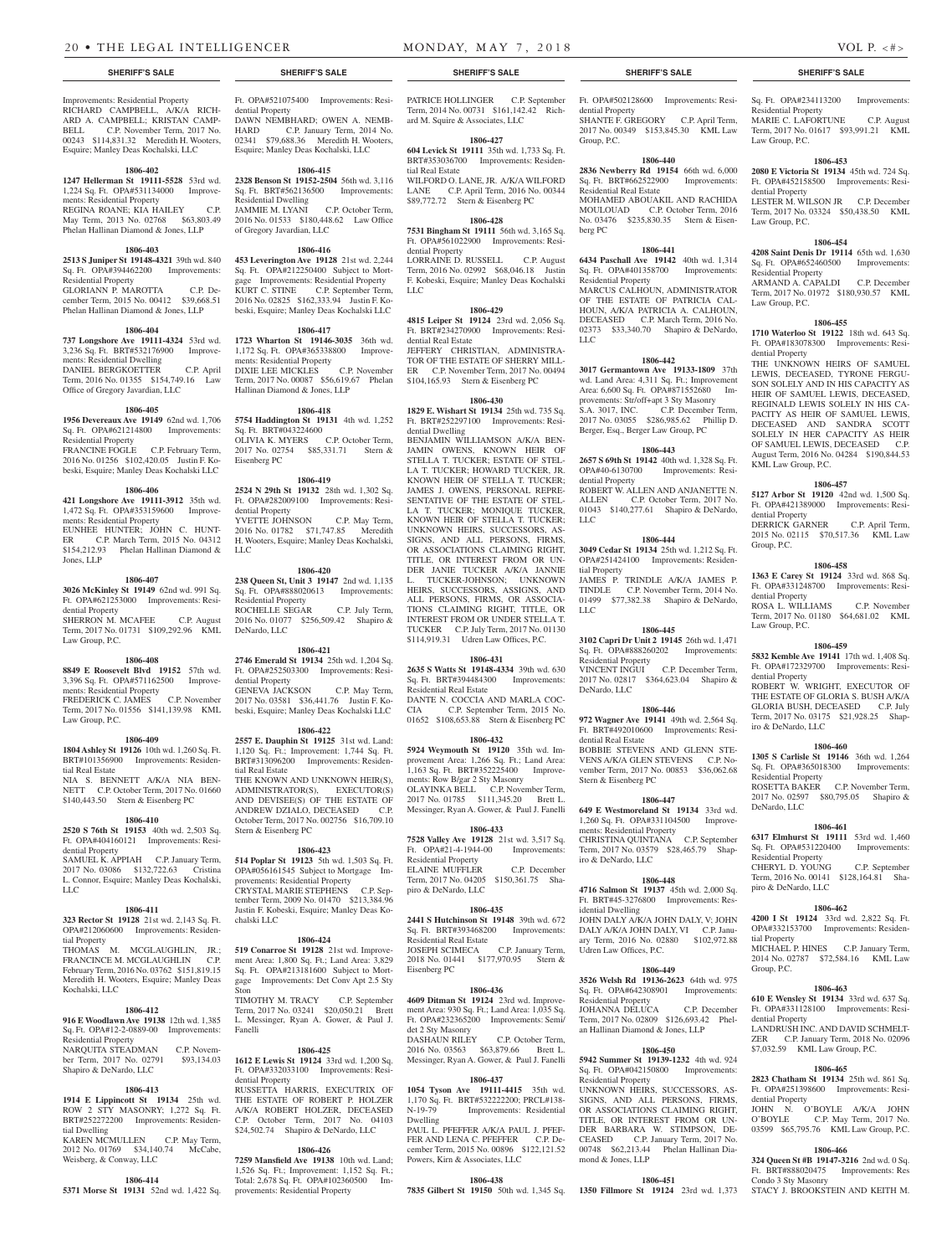#### Improvements: Residential Property RICHARD CAMPBELL, A/K/A RICH-ARD A. CAMPBELL; KRISTAN CAMP-BELL C.P. November Term, 2017 No. 00243 \$114,831.32 Meredith H. Wooters, Esquire; Manley Deas Kochalski, LLC

# **1806-402**

**1247 Hellerman St 19111-5528** 53rd wd. 1,224 Sq. Ft. OPA#531134000 Improvements: Residential Property REGINA ROANE; KIA HAILEY C.P. May Term, 2013 No. 02768 \$63,803.49 Phelan Hallinan Diamond & Jones, LLP

#### **1806-403**

**2513 S Juniper St 19148-4321** 39th wd. 840 Sq. Ft. OPA#394462200 Improvements: Residential Property GLORIANN P. MAROTTA C.P. December Term, 2015 No. 00412 \$39,668.51 Phelan Hallinan Diamond & Jones, LLP

#### **1806-404**

**737 Longshore Ave 19111-4324** 53rd wd. 3,236 Sq. Ft. BRT#532176900 Improvements: Residential Dwelling DANIEL BERGKOETTER C.P. April Term, 2016 No. 01355 \$154,749.16 Law Office of Gregory Javardian, LLC

#### **1806-405**

**1956 Devereaux Ave 19149** 62nd wd. 1,706 Sq. Ft. OPA#621214800 Improvements: Residential Property

FRANCINE FOGLE C.P. February Term, 2016 No. 01256 \$102,420.05 Justin F. Kobeski, Esquire; Manley Deas Kochalski LLC

#### **1806-406**

**421 Longshore Ave 19111-3912** 35th wd. 1,472 Sq. Ft. OPA#353159600 Improvements: Residential Property EUNHEE HUNTER; JOHN C. HUNT-ER C.P. March Term, 2015 No. 04312 \$154,212.93 Phelan Hallinan Diamond & Jones, LLP

# **1806-407**

**3026 McKinley St 19149** 62nd wd. 991 Sq. Ft. OPA#621253000 Improvements: Residential Property

SHERRON M. MCAFEE C.P. August Term, 2017 No. 01731 \$109,292.96 KML Law Group, P.C.

#### **1806-408**

**8849 E Roosevelt Blvd 19152** 57th wd. 3,396 Sq. Ft. OPA#571162500 Improvements: Residential Property FREDERICK C. JAMES C.P. November

Term, 2017 No. 01556 \$141,139.98 KML Law Group, P.C.

# **1806-409**

**1804 Ashley St 19126** 10th wd. 1,260 Sq. Ft. BRT#101356900 Improvements: Residential Real Estate NIA S. BENNETT A/K/A NIA BEN-

NETT C.P. October Term, 2017 No. 01660 \$140,443.50 Stern & Eisenberg PC

# **1806-410**

**2520 S 76th St 19153** 40th wd. 2,503 Sq. Ft. OPA#404160121 Improvements: Residential Property SAMUEL K. APPIAH C.P. January Term,

2017 No. 03086 \$132,722.63 Cristina L. Connor, Esquire; Manley Deas Kochalski, LLC

# **1806-411**

**323 Rector St 19128** 21st wd. 2,143 Sq. Ft. OPA#212060600 Improvements: Residential Property THOMAS M. MCGLAUGHLIN, JR.;

FRANCINCE M. MCGLAUGHLIN C.P. February Term, 2016 No. 03762 \$151,819.15 Meredith H. Wooters, Esquire; Manley Deas Kochalski, LLC

### **1806-412**

Sq. Ft. OPA#12-2-0889-00 Improvements: Fanelli Residential Property NARQUITA STEADMAN C.P. November Term, 2017 No. 02791 \$93,134.03 Shapiro & DeNardo, LLC

#### **1806-413**

**1914 E Lippincott St 19134** 25th wd. ROW 2 STY MASONRY; 1,272 Sq. Ft. BRT#252272200 Improvements: Residential Dwelling KAREN MCMULLEN C.P. May Term,

2012 No. 01769 \$34,140.74 McCabe,

**1806-414 5371 Morse St 19131** 52nd wd. 1,422 Sq.

Weisberg, & Conway, LLC

**7259 Mansfield Ave 19138** 10th wd. Land; 1,526 Sq. Ft.; Improvement: 1,152 Sq. Ft.; Total: 2,678 Sq. Ft. OPA#102360500 Improvements: Residential Property

Ft. OPA#521075400 Improvements: Residential Property DAWN NEMBHARD; OWEN A. NEMB-HARD C.P. January Term, 2014 No. 02341 \$79,688.36 Meredith H. Wooters, Esquire; Manley Deas Kochalski, LLC

## **1806-415**

**2328 Benson St 19152-2504** 56th wd. 3,116 Sq. Ft. BRT#562136500 Improvements: Residential Dwelling JAMMIE M. LYANI C.P. October Term, 2016 No. 01533 \$180,448.62 Law Office of Gregory Javardian, LLC

# **1806-416**

**453 Leverington Ave 19128** 21st wd. 2,244 Sq. Ft. OPA#212250400 Subject to Mortgage Improvements: Residential Property KURT C. STINE C.P. September Term, 2016 No. 02825 \$162,333.94 Justin F. Kobeski, Esquire; Manley Deas Kochalski LLC

#### **1806-417**

**1723 Wharton St 19146-3035** 36th wd.<br>1,172 Sq. Ft. OPA#365338800 Improve-1,172 Sq. Ft. OPA#365338800 Improvements: Residential Property DIXIE LEE MICKLES C.P. November Term, 2017 No. 00087 \$56,619.67 Phelan Hallinan Diamond & Jones, LLP

#### **1806-418**

**5754 Haddington St 19131** 4th wd. 1,252 Sq. Ft. BRT#043224600 OLIVIA K. MYERS C.P. October Term, 2017 No. 02754 \$85,331.71 Stern & Eisenberg PC

#### **1806-419**

**2524 N 29th St 19132** 28th wd. 1,302 Sq. Ft. OPA#282009100 Improvements: Residential Property YVETTE JOHNSON C.P. May Term, 2016 No. 01782 \$71,747.85 Meredith H. Wooters, Esquire; Manley Deas Kochalski,

#### **1806-420**

LLC

**238 Queen St, Unit 3 19147** 2nd wd. 1,135 Sq. Ft. OPA#888020613 Improvements: Residential Property ROCHELLE SEGAR C.P. July Term, 2016 No. 01077 \$256,509.42 Shapiro & DeNardo, LLC

# **1806-421**

**2746 Emerald St 19134** 25th wd. 1,204 Sq. Ft. OPA#252503300 Improvements: Residential Property GENEVA JACKSON C.P. May Term, 2017 No. 03581 \$36,441.76 Justin F. Kobeski, Esquire; Manley Deas Kochalski LLC

### **1806-422**

**2557 E. Dauphin St 19125** 31st wd. Land: 1,120 Sq. Ft.; Improvement: 1,744 Sq. Ft. BRT#313096200 Improvements: Residential Real Estate THE KNOWN AND UNKNOWN HEIR(S), ADMINISTRATOR(S), EXECUTOR(S) AND DEVISEE(S) OF THE ESTATE OF ANDREW DZIALO, DECEASED C.P. October Term, 2017 No. 002756 \$16,709.10 Stern & Eisenberg PC

### **1806-423**

**514 Poplar St 19123** 5th wd. 1,503 Sq. Ft. OPA#056161545 Subject to Mortgage Improvements: Residential Property

CRYSTAL MARIE STEPHENS C.P. September Term, 2009 No. 01470 \$213,384.96 Justin F. Kobeski, Esquire; Manley Deas Kochalski LLC

#### **1806-424**

**519 Conarroe St 19128** 21st wd. Improvement Area: 1,800 Sq. Ft.; Land Area: 3,829 Sq. Ft. OPA#213181600 Subject to Mortgage Improvements: Det Conv Apt 2.5 Sty Ston

**916 E Woodlawn Ave 19138** 12th wd. 1,385 L. Messinger, Ryan A. Gower, & Paul J. TIMOTHY M. TRACY C.P. September Term, 2017 No. 03241 \$20,050.21 Brett

#### **1806-425**

**1612 E Lewis St 19124** 33rd wd. 1,200 Sq. Ft. OPA#332033100 Improvements: Residential Property RUSSETTA HARRIS, EXECUTRIX OF THE ESTATE OF ROBERT P. HOLZER A/K/A ROBERT HOLZER, DECEASED C.P. October Term, 2017 No. 04103 \$24,502.74 Shapiro & DeNardo, LLC

#### **1806-426**

PATRICE HOLLINGER C.P. September Term, 2014 No. 00731 \$161,142.42 Richard M. Squire & Associates, LLC

# **1806-427**

**604 Levick St 19111** 35th wd. 1,733 Sq. Ft. BRT#353036700 Improvements: Residential Real Estate WILFORD O. LANE, JR. A/K/A WILFORD LANE C.P. April Term, 2016 No. 00344

\$89,772.72 Stern & Eisenberg PC **1806-428**

## **7531 Bingham St 19111** 56th wd. 3,165 Sq. Ft. OPA#561022900 Improvements: Residential Property LORRAINE D. RUSSELL C.P. August

Term, 2016 No. 02992 \$68,046.18 Justin F. Kobeski, Esquire; Manley Deas Kochalski LLC

# **1806-429**

**4815 Leiper St 19124** 23rd wd. 2,056 Sq. Ft. BRT#234270900 Improvements: Residential Real Estate JEFFERY CHRISTIAN, ADMINISTRA-

TOR OF THE ESTATE OF SHERRY MILL-ER C.P. November Term, 2017 No. 00494 \$104,165.93 Stern & Eisenberg PC

#### **1806-430**

**1829 E. Wishart St 19134** 25th wd. 735 Sq. Ft. BRT#252297100 Improvements: Residential Dwelling

BENJAMIN WILLIAMSON A/K/A BEN-JAMIN OWENS, KNOWN HEIR OF STELLA T. TUCKER; ESTATE OF STEL-LA T. TUCKER; HOWARD TUCKER, JR. KNOWN HEIR OF STELLA T. TUCKER: JAMES J. OWENS, PERSONAL REPRE-SENTATIVE OF THE ESTATE OF STEL-LA T. TUCKER; MONIQUE TUCKER, KNOWN HEIR OF STELLA T. TUCKER; UNKNOWN HEIRS, SUCCESSORS, AS-SIGNS, AND ALL PERSONS, FIRMS, OR ASSOCIATIONS CLAIMING RIGHT. TITLE, OR INTEREST FROM OR UN-DER JANIE TUCKER A/K/A JANNIE TUCKER-JOHNSON; UNKNOWN HEIRS, SUCCESSORS, ASSIGNS, AND ALL PERSONS, FIRMS, OR ASSOCIA-TIONS CLAIMING RIGHT, TITLE, OR INTEREST FROM OR UNDER STELLA T. TUCKER C.P. July Term, 2017 No. 01130 \$114,919.31 Udren Law Offices, P.C.

#### **1806-431**

**2635 S Watts St 19148-4334** 39th wd. 630 Sq. Ft. BRT#394484300 Improvements: Residential Real Estate DANTE N. COCCIA AND MARLA COC-CIA C.P. September Term, 2015 No. 01652 \$108,653.88 Stern & Eisenberg PC

## **1806-432**

**5924 Weymouth St 19120** 35th wd. Improvement Area: 1,266 Sq. Ft.; Land Area: 1,163 Sq. Ft. BRT#352225400 Improvements: Row B/gar 2 Sty Masonry OLAYINKA BELL C.P. November Term, 2017 No. 01785 \$111,345.20 Brett L. Messinger, Ryan A. Gower, & Paul J. Fanelli

### **1806-433**

**7528 Valley Ave 19128** 21st wd. 3,517 Sq. Ft. OPA#21-4-1944-00 Improvements: Residential Property ELAINE MUFFLER C.P. December

Term, 2017 No. 04205 \$150,361.75 Shapiro & DeNardo, LLC

# **1806-435**

**2441 S Hutchinson St 19148** 39th wd. 672 Sq. Ft. BRT#393468200 Improvements: Residential Real Estate JOSEPH SCIMECA C.P. January Term, 2018 No. 01441 \$177,970.95 Stern & Eisenberg PC

## **1806-436**

**4609 Ditman St 19124** 23rd wd. Improvement Area: 930 Sq. Ft.; Land Area: 1,035 Sq. Ft. OPA#232365200 Improvements: Semi/ det 2 Sty Masonry DASHAUN RILEY C.P. October Term, 2016 No. 03563 \$63,879.66 Brett L. Messinger, Ryan A. Gower, & Paul J. Fanelli

#### **1806-437**

**1054 Tyson Ave 19111-4415** 35th wd. 1,170 Sq. Ft. BRT#532222200; PRCL#138-<br>N-19-79 Improvements: Residential Improvements: Residential Dwelling

PAUL L. PFEFFER A/K/A PAUL J. PFEF-FER AND LENA C. PFEFFER C.P. December Term, 2015 No. 00896 \$122,121.52 Powers, Kirn & Associates, LLC

**1806-438 7835 Gilbert St 19150** 50th wd. 1,345 Sq.

### **SHERIFF'S SALE SHERIFF'S SALE SHERIFF'S SALE SHERIFF'S SALE SHERIFF'S SALE**

Ft. OPA#502128600 Improvements: Residential Property SHANTE F. GREGORY C.P. April Term, 2017 No. 00349 \$153,845.30 KML Law Group, P.C.

Sq. Ft. OPA#234113200 Improvements:

MARIE C. LAFORTUNE C.P. August Term, 2017 No. 01617 \$93,991.21 KML

**1806-453 2080 E Victoria St 19134** 45th wd. 724 Sq. Ft. OPA#452158500 Improvements: Resi-

LESTER M. WILSON JR C.P. December Term, 2017 No. 03324 \$50,438.50 KML

**1806-454 4208 Saint Denis Dr 19114** 65th wd. 1,630 Sq. Ft. OPA#652460500 Improvements:

ARMAND A. CAPALDI C.P. December Term, 2017 No. 01972 \$180,930.57 KML

**1806-455 1710 Waterloo St 19122** 18th wd. 643 Sq. Ft. OPA#183078300 Improvements: Resi-

THE UNKNOWN HEIRS OF SAMUEL LEWIS, DECEASED, TYRONE FERGU-SON SOLELY AND IN HIS CAPACITY AS HEIR OF SAMUEL LEWIS, DECEASED, REGINALD LEWIS SOLELY IN HIS CA-PACITY AS HEIR OF SAMUEL LEWIS, DECEASED AND SANDRA SCOTT SOLELY IN HER CAPACITY AS HEIR OF SAMUEL LEWIS, DECEASED C.P. August Term, 2016 No. 04284 \$190,844.53

**1806-457 5127 Arbor St 19120** 42nd wd. 1,500 Sq. Ft. OPA#421389000 Improvements: Resi-

2015 No. 02115 \$70,517.36 KML Law

**1806-458 1363 E Carey St 19124** 33rd wd. 868 Sq. Ft. OPA#331248700 Improvements: Resi-

ROSA L. WILLIAMS C.P. November Term, 2017 No. 01180 \$64,681.02 KML

**1806-459 5832 Kemble Ave 19141** 17th wd. 1,408 Sq. Ft. OPA#172329700 Improvements: Resi-

ROBERT W. WRIGHT, EXECUTOR OF THE ESTATE OF GLORIA S. BUSH A/K/A GLORIA BUSH, DECEASED C.P. July Term, 2017 No. 03175 \$21,928.25 Shap-

**1806-460 1305 S Carlisle St 19146** 36th wd. 1,264 Sq. Ft. OPA#365018300 Improvements:

ROSETTA BAKER C.P. November Term, 2017 No. 02597 \$80,795.05 Shapiro &

**1806-461 6317 Elmhurst St 19111** 53rd wd. 1,460 Sq. Ft. OPA#531220400 Improvements:

CHERYL D. YOUNG C.P. September Term, 2016 No. 00141 \$128,164.81 Sha-

**1806-462 4200 I St 19124** 33rd wd. 2,822 Sq. Ft. OPA#332153700 Improvements: Residen-

MICHAEL P. HINES C.P. January Term, 2014 No. 02787 \$72,584.16 KML Law

**1806-463 610 E Wensley St 19134** 33rd wd. 637 Sq. Ft. OPA#331128100 Improvements: Resi-

LANDRUSH INC. AND DAVID SCHMELT-ZER C.P. January Term, 2018 No. 02096 \$7,032.59 KML Law Group, P.C.

**1806-465 2823 Chatham St 19134** 25th wd. 861 Sq. Ft. OPA#251398600 Improvements: Resi-

JOHN N. O'BOYLE A/K/A JOHN O'BOYLE C.P. May Term, 2017 No. 03599 \$65,795.76 KML Law Group, P.C. **1806-466 324 Queen St #B 19147-3216** 2nd wd. 0 Sq. Ft. BRT#888020475 Improvements: Res

STACY J. BROOKSTEIN AND KEITH M.

C.P. April Term,

Residential Property

Law Group, P.C.

dential Property

Law Group, P.C.

Residential Property

Law Group, P.C.

dential Property

KML Law Group, P.C.

dential Property<br>DERRICK GARNER

Group, P.C.

dential Property

Law Group, P.C.

dential Property

iro & DeNardo, LLC

Residential Property

Residential Property

piro & DeNardo, LLC

tial Property

Group, P.C.

dential Property

dential Property

Condo 3 Sty Masonry

DeNardo, LLC

## **1806-440**

**2836 Newberry Rd 19154** 66th wd. 6,000 Sq. Ft. BRT#662522900 Improvements: Residential Real Estate

MOHAMED ABOUAKIL AND RACHIDA MOULOUAD C.P. October Term, 2016 No. 03476 \$235,830.35 Stern & Eisenberg PC

### **1806-441**

**6434 Paschall Ave 19142** 40th wd. 1,314 Sq. Ft. OPA#401358700 Improvements: Residential Property MARCUS CALHOUN, ADMINISTRATOR OF THE ESTATE OF PATRICIA CAL-HOUN, A/K/A PATRICIA A. CALHOUN, DECEASED C.P. March Term, 2016 No. 02373 \$33,340.70 Shapiro & DeNardo, LLC

#### **1806-442 3017 Germantown Ave 19133-1809** 37th wd. Land Area: 4,311 Sq. Ft.; Improvement

Area: 6,600 Sq. Ft. OPA#871552680 Improvements: Str/off+apt 3 Sty Masonry S.A. 3017, INC. C.P. December Term, 2017 No. 03055 \$286,985.62 Phillip D. Berger, Esq., Berger Law Group, PC

**1806-443 2657 S 69th St 19142** 40th wd. 1,328 Sq. Ft. OPA#40-6130700 Improvements: Resi-

ROBERT W. ALLEN AND ANJANETTE N. ALLEN C.P. October Term, 2017 No. 01043 \$140,277.61 Shapiro & DeNardo,

**1806-444 3049 Cedar St 19134** 25th wd. 1,212 Sq. Ft. OPA#251424100 Improvements: Residen-

JAMES P. TRINDLE A/K/A JAMES P. TINDLE C.P. November Term, 2014 No. 01499 \$77,382.38 Shapiro & DeNardo,

**1806-445 3102 Capri Dr Unit 2 19145** 26th wd. 1,471 Sq. Ft. OPA#888260202 Improvements:

VINCENT INGUI C.P. December Term, 2017 No. 02817 \$364,623.04 Shapiro &

**1806-446 972 Wagner Ave 19141** 49th wd. 2,564 Sq. Ft. BRT#492010600 Improvements: Resi-

BOBBIE STEVENS AND GLENN STE-VENS A/K/A GLEN STEVENS C.P. November Term, 2017 No. 00853 \$36,062.68

**1806-447 649 E Westmoreland St 19134** 33rd wd. 1,260 Sq. Ft. OPA#331104500 Improve-

CHRISTINA QUINTANA C.P. September Term, 2017 No. 03579 \$28,465.79 Shap-

**1806-448 4716 Salmon St 19137** 45th wd. 2,000 Sq. Ft. BRT#45-3276800 Improvements: Res-

JOHN DALY A/K/A JOHN DALY, V; JOHN DALY A/K/A JOHN DALY, VI C.P. January Term, 2016 No. 02880 \$102,972.88

**1806-449 3526 Welsh Rd 19136-2623** 64th wd. 975 Sq. Ft. OPA#642308901 Improvements:

JOHANNA DELUCA C.P. December Term, 2017 No. 02809 \$126,693.42 Phelan Hallinan Diamond & Jones, LLP

**1806-450 5942 Summer St 19139-1232** 4th wd. 924 Sq. Ft. OPA#042150800 Improvements:

UNKNOWN HEIRS, SUCCESSORS, AS-SIGNS, AND ALL PERSONS, FIRMS, OR ASSOCIATIONS CLAIMING RIGHT, TITLE, OR INTEREST FROM OR UN-DER BARBARA W. STIMPSON, DE-CEASED C.P. January Term, 2017 No. 00748 \$62,213.44 Phelan Hallinan Dia-

**1806-451 1350 Fillmore St 19124** 23rd wd. 1,373

dential Property

LLC

LLC

tial Property

Residential Property

dential Real Estate

Stern & Eisenberg PC

iro & DeNardo, LLC

idential Dwelling

Udren Law Offices, P.C.

Residential Property

Residential Property

mond & Jones, LLP

ments: Residential Property

DeNardo, LLC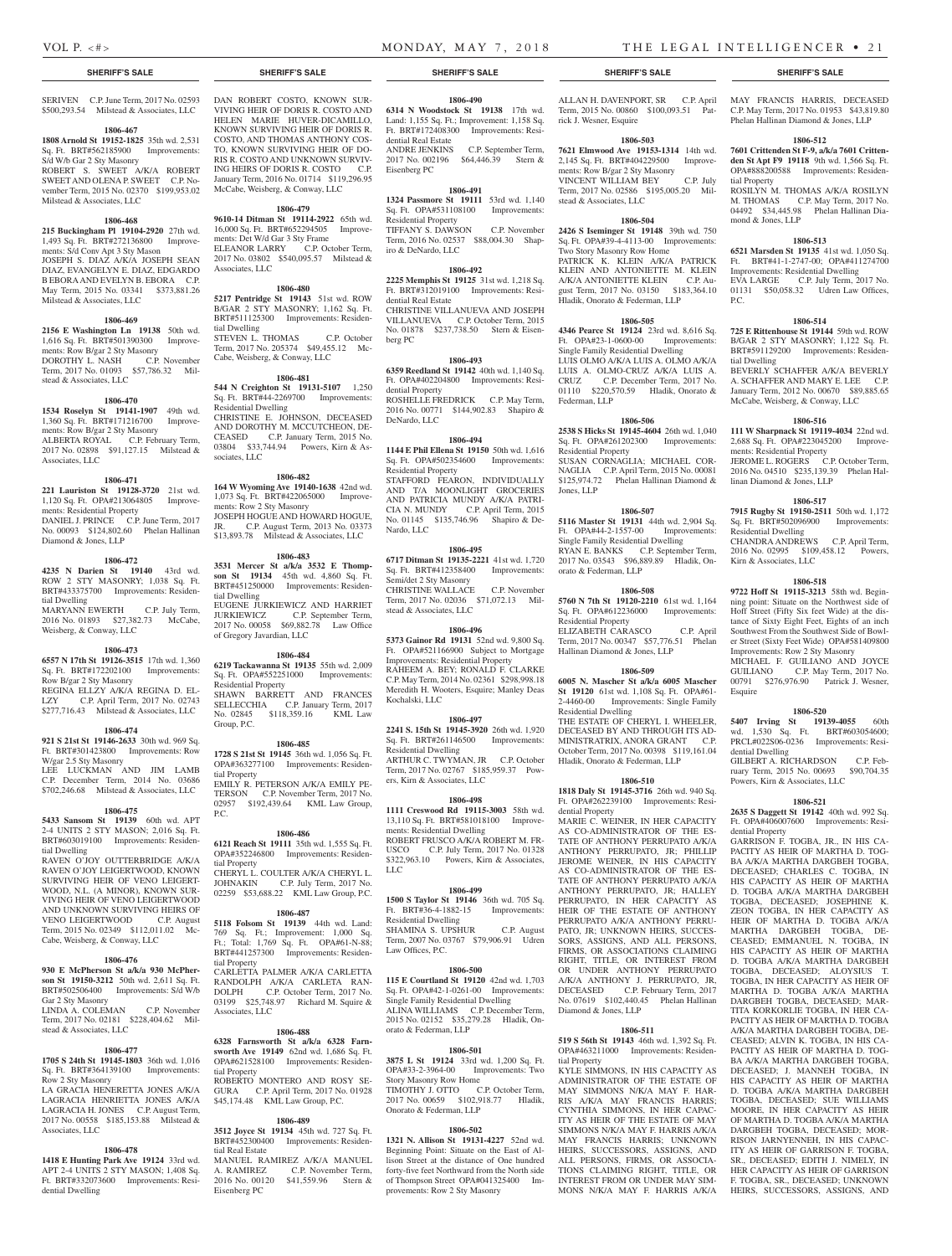#### **SHERIFF'S SALE SHERIFF'S SALE SHERIFF'S SALE SHERIFF'S SALE SHERIFF'S SALE**

SERIVEN C.P. June Term, 2017 No. 02593 \$500,293.54 Milstead & Associates, LLC

#### **1806-467**

**1808 Arnold St 19152-1825** 35th wd. 2,531 Sq. Ft. BRT#562185900 Improvements: S/d W/b Gar 2 Sty Masonry ROBERT S. SWEET A/K/A ROBERT SWEET AND OLENA P. SWEET C.P. November Term, 2015 No. 02370 \$199,953.02 Milstead & Associates, LLC

#### **1806-468**

**215 Buckingham Pl 19104-2920** 27th wd. 1,493 Sq. Ft. BRT#272136800 Improvements: S/d Conv Apt 3 Sty Mason JOSEPH S. DIAZ A/K/A JOSEPH SEAN DIAZ, EVANGELYN E. DIAZ, EDGARDO B EBORA AND EVELYN B. EBORA C.P. May Term, 2015 No. 03341 \$373,881.26 Milstead & Associates, LLC

#### **1806-469**

**2156 E Washington Ln 19138** 50th wd. 1,616 Sq. Ft. BRT#501390300 Improvements: Row B/gar 2 Sty Masonry DOROTHY L. NASH C.P. November Term, 2017 No. 01093 \$57,786.32 Milstead & Associates, LLC

#### **1806-470**

**1534 Roselyn St 19141-1907** 49th wd. 1,360 Sq. Ft. BRT#171216700 Improvements: Row B/gar 2 Sty Masonry ALBERTA ROYAL C.P. February Term, 2017 No. 02898 \$91,127.15 Milstead & Associates, LLC

#### **1806-471**

**221 Lauriston St 19128-3720** 21st wd. 1,120 Sq. Ft. OPA#213064805 Improvements: Residential Property DANIEL J. PRINCE C.P. June Term, 2017 No. 00093 \$124,802.60 Phelan Hallinan Diamond & Jones, LLP

# **1806-472**

**4235 N Darien St 19140** 43rd wd. ROW 2 STY MASONRY; 1,038 Sq. Ft. BRT#433375700 Improvements: Residential Dwelling

MARYANN EWERTH C.P. July Term, 2016 No. 01893 \$27,382.73 McCabe, Weisberg, & Conway, LLC

#### **1806-473**

**6557 N 17th St 19126-3515** 17th wd. 1,360 Sq. Ft. BRT#172202100 Improvements: Row B/gar 2 Sty Masonry

REGINA ELLZY A/K/A REGINA D. EL-LZY C.P. April Term, 2017 No. 02743 \$277,716.43 Milstead & Associates, LLC

# **1806-474**

**921 S 21st St 19146-2633** 30th wd. 969 Sq. Ft. BRT#301423800 Improvements: Row W/gar 2.5 Sty Masonry LEE LUCKMAN AND JIM LAMB

C.P. December Term, 2014 No. 03686 \$702,246.68 Milstead & Associates, LLC

# **1806-475**

**5433 Sansom St 19139** 60th wd. APT 2-4 UNITS 2 STY MASON; 2,016 Sq. Ft. BRT#603019100 Improvements: Residential Dwelling

RAVEN O'JOY OUTTERBRIDGE A/K/A RAVEN O'JOY LEIGERTWOOD, KNOWN SURVIVING HEIR OF VENO LEIGERT-WOOD, N.L. (A MINOR), KNOWN SUR-VIVING HEIR OF VENO LEIGERTWOOD AND UNKNOWN SURVIVING HEIRS OF VENO LEIGERTWOOD C.P. August Term, 2015 No. 02349 \$112,011.02 Mc-Cabe, Weisberg, & Conway, LLC

#### **1806-476**

**930 E McPherson St a/k/a 930 McPherson St 19150-3212** 50th wd. 2,611 Sq. Ft. BRT#502506400 Improvements: S/d W/b Gar 2 Sty Masonry

LINDA A. COLEMAN C.P. November Term, 2017 No. 02181 \$228,404.62 Milstead & Associates, LLC

#### **1806-477**

**1705 S 24th St 19145-1803** 36th wd. 1,016 Sq. Ft. BRT#364139100 Improvements: Row 2 Sty Masonry

LA GRACIA HENERETTA JONES A/K/A LAGRACIA HENRIETTA JONES A/K/A LAGRACIA H. JONES C.P. August Term, 2017 No. 00558 \$185,153.88 Milstead & Associates, LLC

# **1806-478**

**1418 E Hunting Park Ave 19124** 33rd wd. APT 2-4 UNITS 2 STY MASON; 1,408 Sq. Ft. BRT#332073600 Improvements: Residential Dwelling

DAN ROBERT COSTO, KNOWN SUR-VIVING HEIR OF DORIS R. COSTO AND HELEN MARIE HUVER-DICAMILLO, KNOWN SURVIVING HEIR OF DORIS R. COSTO, AND THOMAS ANTHONY COS-TO, KNOWN SURVIVING HEIR OF DO-RIS R. COSTO AND UNKNOWN SURVIV-ING HEIRS OF DORIS R. COSTO C.P. January Term, 2016 No. 01714 \$119,296.95 McCabe, Weisberg, & Conway, LLC

#### **1806-479**

**9610-14 Ditman St 19114-2922** 65th wd. 16,000 Sq. Ft. BRT#652294505 Improvements: Det W/d Gar 3 Sty Frame ELEANOR LARRY C.P. October Term, 2017 No. 03802 \$540,095.57 Milstead & Associates, LLC

# **1806-480**

**5217 Pentridge St 19143** 51st wd. ROW B/GAR 2 STY MASONRY; 1,162 Sq. Ft. BRT#511125300 Improvements: Residential Dwelling STEVEN L. THOMAS C.P. October Term, 2017 No. 205374 \$49,455.12 Mc-Cabe, Weisberg, & Conway, LLC

**1806-481**

**544 N Creighton St 19131-5107** 1,250 Sq. Ft. BRT#44-2269700 Improvements: Residential Dwelling CHRISTINE E. JOHNSON, DECEASED AND DOROTHY M. MCCUTCHEON, DE-CEASED C.P. January Term, 2015 No. 03804 \$33,744.94 Powers, Kirn & As-

#### **1806-482**

sociates, LLC

**164 W Wyoming Ave 19140-1638** 42nd wd. 1,073 Sq. Ft. BRT#422065000 Improvements: Row 2 Sty Masonry JOSEPH HOGUE AND HOWARD HOGUE, C.P. August Term, 2013 No. 03373 \$13,893.78 Milstead & Associates, LLC

#### **1806-483**

**3531 Mercer St a/k/a 3532 E Thompson St 19134** 45th wd. 4,860 Sq. Ft. BRT#451250000 Improvements: Residential Dwelling EUGENE JURKIEWICZ AND HARRIET JURKIEWICZ C.P. September Term, 2017 No. 00058 \$69,882.78 Law Office of Gregory Javardian, LLC

#### **1806-484**

**6219 Tackawanna St 19135** 55th wd. 2,009 Sq. Ft. OPA#552251000 Improvements: Residential Property SHAWN BARRETT AND FRANCES SELLECCHIA C.P. January Term, 2017 No. 02845 \$118,359.16 KML Law Group, P.C.

#### **1806-485**

**1728 S 21st St 19145** 36th wd. 1,056 Sq. Ft. OPA#363277100 Improvements: Residential Property EMILY R. PETERSON A/K/A EMILY PE-TERSON C.P. November Term, 2017 No. 02957 \$192,439.64 KML Law Group, P.C.

### **1806-486**

**6121 Reach St 19111** 35th wd. 1,555 Sq. Ft. OPA#352246800 Improvements: Residential Property CHERYL L. COULTER A/K/A CHERYL L.<br>JOHNAKIN C.P. July Term, 2017 No. C.P. July Term, 2017 No. 02259 \$53,688.22 KML Law Group, P.C.

## **1806-487**

**5118 Folsom St 19139** 44th wd. Land: 769 Sq. Ft.; Improvement: 1,000 Sq. Ft.; Total: 1,769 Sq. Ft. OPA#61-N-88; BRT#441257300 Improvements: Residential Property CARLETTA PALMER A/K/A CARLETTA RANDOLPH A/K/A CARLETA RAN-DOLPH C.P. October Term, 2017 No.

03199 \$25,748.97 Richard M. Squire & Associates, LLC

### **1806-488**

#### **6328 Farnsworth St a/k/a 6328 Farnsworth Ave 19149** 62nd wd. 1,686 Sq. Ft. OPA#621528100 Improvements: Residen-

tial Property ROBERTO MONTERO AND ROSY SE-GURA C.P. April Term, 2017 No. 01928 \$45,174.48 KML Law Group, P.C.

#### **1806-489**

**3512 Joyce St 19134** 45th wd. 727 Sq. Ft. BRT#452300400 Improvements: Residential Real Estate MANUEL RAMIREZ A/K/A MANUEL<br>A. RAMIREZ C.P. November Term, C.P. November Term, 2016 No. 00120 \$41,559.96 Stern &

Eisenberg PC

**6314 N Woodstock St 19138** 17th wd. Land: 1,155 Sq. Ft.; Improvement: 1,158 Sq. Ft. BRT#172408300 Improvements: Residential Real Estate C.P. September Term, 2017 No. 002196 \$64,446.39 Stern &

Eisenberg PC

#### **1806-491**

**1324 Passmore St 19111** 53rd wd. 1,140 Sq. Ft. OPA#531108100 Improvements: Residential Property TIFFANY S. DAWSON C.P. November Term, 2016 No. 02537 \$88,004.30 Shapiro & DeNardo, LLC

**1806-490**

#### **1806-492**

**2225 Memphis St 19125** 31st wd. 1,218 Sq. Ft. BRT#312019100 Improvements: Residential Real Estate CHRISTINE VILLANUEVA AND JOSEPH VILLANUEVA C.P. October Term, 2015 No. 01878 \$237,738.50 Stern & Eisenberg PC

#### **1806-493**

**6359 Reedland St 19142** 40th wd. 1,140 Sq. Ft. OPA#402204800 Improvements: Residential Property ROSHELLE FREDRICK C.P. May Term, 2016 No. 00771 \$144,902.83 Shapiro & DeNardo, LLC

#### **1806-494**

**1144 E Phil Ellena St 19150** 50th wd. 1,616 Sq. Ft. OPA#502354600 Improvements: Residential Property STAFFORD FEARON, INDIVIDUALLY AND T/A MOONLIGHT GROCERIES AND PATRICIA MUNDY A/K/A PATRI-CIA N. MUNDY C.P. April Term, 2015 No. 01145 \$135,746.96 Shapiro & De-Nardo, LLC

#### **1806-495**

**6717 Ditman St 19135-2221** 41st wd. 1,720 Sq. Ft. BRT#412358400 Improvements: Semi/det 2 Sty Masonry CHRISTINE WALLACE C.P. November Term, 2017 No. 02036 \$71,072.13 Milstead & Associates, LLC

#### **1806-496**

**5373 Gainor Rd 19131** 52nd wd. 9,800 Sq. Ft. OPA#521166900 Subject to Mortgage Improvements: Residential Property RAHEEM A. BEY; RONALD F. CLARKE C.P. May Term, 2014 No. 02361 \$298,998.18 Meredith H. Wooters, Esquire; Manley Deas Kochalski, LLC

#### **1806-497**

**2241 S. 15th St 19145-3920** 26th wd. 1,920 Sq. Ft. BRT#261146500 Improvements: Residential Dwelling ARTHUR C. TWYMAN, JR C.P. October Term, 2017 No. 02767 \$185,959.37 Pow-

ers, Kirn & Associates, LLC

**1806-498 1111 Creswood Rd 19115-3003** 58th wd. 13,110 Sq. Ft. BRT#581018100 Improvements: Residential Dwelling ROBERT FRUSCO A/K/A ROBERT M. FR-

USCO C.P. July Term, 2017 No. 01328 \$322,963.10 Powers, Kirn & Associates, LLC

# **1806-499**

**1500 S Taylor St 19146** 36th wd. 705 Sq. Ft. BRT#36-4-1882-15 Improvements: Residential Dwelling SHAMINA S. UPSHUR C.P. August Term, 2007 No. 03767 \$79,906.91 Udren Law Offices, P.C.

# **1806-500**

**115 E Courtland St 19120** 42nd wd. 1,703 Sq. Ft. OPA#42-1-0261-00 Improvements: Single Family Residential Dwelling ALINA WILLIAMS C.P. December Term, 2015 No. 02152 \$35,279.28 Hladik, Onorato & Federman, LLP

# **1806-501**

**3875 L St 19124** 33rd wd. 1,200 Sq. Ft. OPA#33-2-3964-00 Improvements: Two Story Masonry Row Home TIMOTHY J. OTTO C.P. October Term, 2017 No. 00659 \$102,918.77 Hladik, Onorato & Federman, LLP

#### **1806-502**

**1321 N. Allison St 19131-4227** 52nd wd. Beginning Point: Situate on the East of Allison Street at the distance of One hundred forty-five feet Northward from the North side of Thompson Street OPA#041325400 Improvements: Row 2 Sty Masonry

ALLAN H. DAVENPORT, SR C.P. April Term, 2015 No. 00860 \$100,093.51 Patrick J. Wesner, Esquire

MAY FRANCIS HARRIS, DECEASED C.P. May Term, 2017 No. 01953 \$43,819.80 Phelan Hallinan Diamond & Jones, LLP **1806-512 7601 Crittenden St F-9, a/k/a 7601 Crittenden St Apt F9 19118** 9th wd. 1,566 Sq. Ft. OPA#888200588 Improvements: Residen-

ROSILYN M. THOMAS A/K/A ROSILYN M. THOMAS C.P. May Term, 2017 No. 04492 \$34,445.98 Phelan Hallinan Dia-

**1806-513 6521 Marsden St 19135** 41st wd. 1,050 Sq. Ft. BRT#41-1-2747-00; OPA#411274700 Improvements: Residential Dwelling EVA LARGE C.P. July Term, 2017 No. 01131 \$50,058.32 Udren Law Offices,

**1806-514 725 E Rittenhouse St 19144** 59th wd. ROW B/GAR 2 STY MASONRY; 1,122 Sq. Ft. BRT#591129200 Improvements: Residen-

BEVERLY SCHAFFER A/K/A BEVERLY A. SCHAFFER AND MARY E. LEE C.P. January Term, 2012 No. 00670 \$89,885.65 McCabe, Weisberg, & Conway, LLC **1806-516 111 W Sharpnack St 19119-4034** 22nd wd. 2,688 Sq. Ft. OPA#223045200 Improve-

JEROME L. ROGERS C.P. October Term, 2016 No. 04510 \$235,139.39 Phelan Hal-

**1806-517 7915 Rugby St 19150-2511** 50th wd. 1,172 Sq. Ft. BRT#502096900 Improvements:

CHANDRA ANDREWS C.P. April Term, 2016 No. 02995 \$109,458.12 Powers,

**1806-518 9722 Hoff St 19115-3213** 58th wd. Beginning point: Situate on the Northwest side of Hoff Street (Fifty Six feet Wide) at the distance of Sixty Eight Feet, Eights of an inch Southwest From the Southwest Side of Bowler Street (Sixty Feet Wide) OPA#581409800 Improvements: Row 2 Sty Masonry MICHAEL F. GUILIANO AND JOYCE GUILIANO C.P. May Term, 2017 No. 00791 \$276,976.90 Patrick J. Wesner,

**1806-520 5407 Irving St 19139-4055** 60th wd. 1,530 Sq. Ft. BRT#603054600; PRCL#022S06-0236 Improvements: Resi-

GILBERT A. RICHARDSON C.P. February Term, 2015 No. 00693 \$90,704.35 Powers, Kirn & Associates, LLC

**1806-521 2635 S Daggett St 19142** 40th wd. 992 Sq. Ft. OPA#406007600 Improvements: Resi-

GARRISON F. TOGBA, JR., IN HIS CA-PACITY AS HEIR OF MARTHA D. TOG-BA A/K/A MARTHA DARGBEH TOGBA, DECEASED; CHARLES C. TOGBA, IN HIS CAPACITY AS HEIR OF MARTHA D. TOGBA A/K/A MARTHA DARGBEH TOGBA, DECEASED; JOSEPHINE K. ZEON TOGBA, IN HER CAPACITY AS HEIR OF MARTHA D. TOGBA A/K/A MARTHA DARGBEH TOGBA, DE-CEASED; EMMANUEL N. TOGBA, IN HIS CAPACITY AS HEIR OF MARTHA D. TOGBA A/K/A MARTHA DARGBEH TOGBA, DECEASED; ALOYSIUS T. TOGBA, IN HER CAPACITY AS HEIR OF MARTHA D. TOGBA A/K/A MARTHA DARGBEH TOGBA, DECEASED; MAR-TITA KORKORLIE TOGBA, IN HER CA-PACITY AS HEIR OF MARTHA D. TOGRA A/K/A MARTHA DARGBEH TOGBA, DE-CEASED; ALVIN K. TOGBA, IN HIS CA-PACITY AS HEIR OF MARTHA D. TOG-BA A/K/A MARTHA DARGBEH TOGBA, DECEASED; J. MANNEH TOGBA, IN HIS CAPACITY AS HEIR OF MARTHA D. TOGBA A/K/A MARTHA DARGBEH TOGBA, DECEASED; SUE WILLIAMS MOORE, IN HER CAPACITY AS HEIR OF MARTHA D. TOGBA A/K/A MARTHA DARGBEH TOGBA, DECEASED; MOR-RISON JARNYENNEH, IN HIS CAPAC-ITY AS HEIR OF GARRISON F. TOGBA, SR., DECEASED; EDITH J. NIMELY, IN HER CAPACITY AS HEIR OF GARRISON F. TOGBA, SR., DECEASED; UNKNOWN HEIRS, SUCCESSORS, ASSIGNS, AND

tial Property

P.C.

tial Dwelling

ments: Residential Property

linan Diamond & Jones, LLP

Residential Dwelling

Kirn & Associates, LLC

Esquire

dential Dwelling

dential Property

mond & Jones, LLP

#### **1806-503**

**7621 Elmwood Ave 19153-1314** 14th wd. 2,145 Sq. Ft. BRT#404229500 Improvements: Row B/gar 2 Sty Masonry VINCENT WILLIAM BEY C.P. July Term, 2017 No. 02586 \$195,005.20 Milstead & Associates, LLC

#### **1806-504**

**2426 S Iseminger St 19148** 39th wd. 750 Sq. Ft. OPA#39-4-4113-00 Improvements: Two Story Masonry Row Home PATRICK K. KLEIN A/K/A PATRICK KLEIN AND ANTONIETTE M. KLEIN A/K/A ANTONIETTE KLEIN C.P. August Term, 2017 No. 03150 \$183,364.10 Hladik, Onorato & Federman, LLP

#### **1806-505**

**4346 Pearce St 19124** 23rd wd. 8,616 Sq. Ft. OPA#23-1-0600-00 Improvements: Single Family Residential Dwelling LUIS OLMO A/K/A LUIS A. OLMO A/K/A LUIS A. OLMO-CRUZ A/K/A LUIS A. CRUZ C.P. December Term, 2017 No. 01110 \$220,570.59 Hladik, Onorato & Federman, LLP

#### **1806-506**

**2538 S Hicks St 19145-4604** 26th wd. 1,040 Sq. Ft. OPA#261202300 Improvements: Residential Property SUSAN CORNAGLIA; MICHAEL COR-NAGLIA C.P. April Term, 2015 No. 00081 \$125,974.72 Phelan Hallinan Diamond & Jones, LLP

#### **1806-507**

**5116 Master St 19131** 44th wd. 2,904 Sq. Ft. OPA#44-2-1557-00 Improvements: Single Family Residential Dwelling RYAN E. BANKS C.P. September Term, 2017 No. 03543 \$96,889.89 Hladik, Onorato & Federman, LLP

#### **1806-508**

**5760 N 7th St 19120-2210** 61st wd. 1,164 Sq. Ft. OPA#612236000 Improvements: Residential Property ELIZABETH CARASCO C.P. April Term, 2017 No. 00347 \$57,776.51 Phelan

Hallinan Diamond & Jones, LLP

#### **1806-509 6005 N. Mascher St a/k/a 6005 Mascher St 19120** 61st wd. 1,108 Sq. Ft. OPA#61-

2-4460-00 Improvements: Single Family

THE ESTATE OF CHERYL I. WHEELER, DECEASED BY AND THROUGH ITS AD-MINISTRATRIX, ANORA GRANT C.P. October Term, 2017 No. 00398 \$119,161.04 Hladik, Onorato & Federman, LLP

**1806-510 1818 Daly St 19145-3716** 26th wd. 940 Sq. Ft. OPA#262239100 Improvements: Resi-

MARIE C. WEINER, IN HER CAPACITY AS CO-ADMINISTRATOR OF THE ES-TATE OF ANTHONY PERRUPATO A/K/A ANTHONY PERRUPATO, JR; PHILLIP JEROME WEINER, IN HIS CAPACITY AS CO-ADMINISTRATOR OF THE ES-TATE OF ANTHONY PERRUPATO A/K/A ANTHONY PERRUPATO, JR; HALLEY PERRUPATO, IN HER CAPACITY AS HEIR OF THE ESTATE OF ANTHONY PERRUPATO A/K/A ANTHONY PERRU-PATO, JR; UNKNOWN HEIRS, SUCCES-SORS, ASSIGNS, AND ALL PERSONS, FIRMS, OR ASSOCIATIONS CLAIMING RIGHT, TITLE, OR INTEREST FROM OR UNDER ANTHONY PERRUPATO A/K/A ANTHONY J. PERRUPATO, JR, DECEASED C.P. February Term, 2017 No. 07619 \$102,440.45 Phelan Hallinan

**1806-511 519 S 56th St 19143** 46th wd. 1,392 Sq. Ft. OPA#463211000 Improvements: Residen-

KYLE SIMMONS, IN HIS CAPACITY AS ADMINISTRATOR OF THE ESTATE OF MAY SIMMONS N/K/A MAY F. HAR-RIS A/K/A MAY FRANCIS HARRIS; CYNTHIA SIMMONS, IN HER CAPAC-ITY AS HEIR OF THE ESTATE OF MAY SIMMONS N/K/A MAY F. HARRIS A/K/A MAY FRANCIS HARRIS; UNKNOWN HEIRS, SUCCESSORS, ASSIGNS, AND ALL PERSONS, FIRMS, OR ASSOCIA-TIONS CLAIMING RIGHT, TITLE, OR INTEREST FROM OR UNDER MAY SIM-MONS N/K/A MAY F. HARRIS A/K/A

Residential Dwelling

dential Property

Diamond & Jones, LLP

tial Property